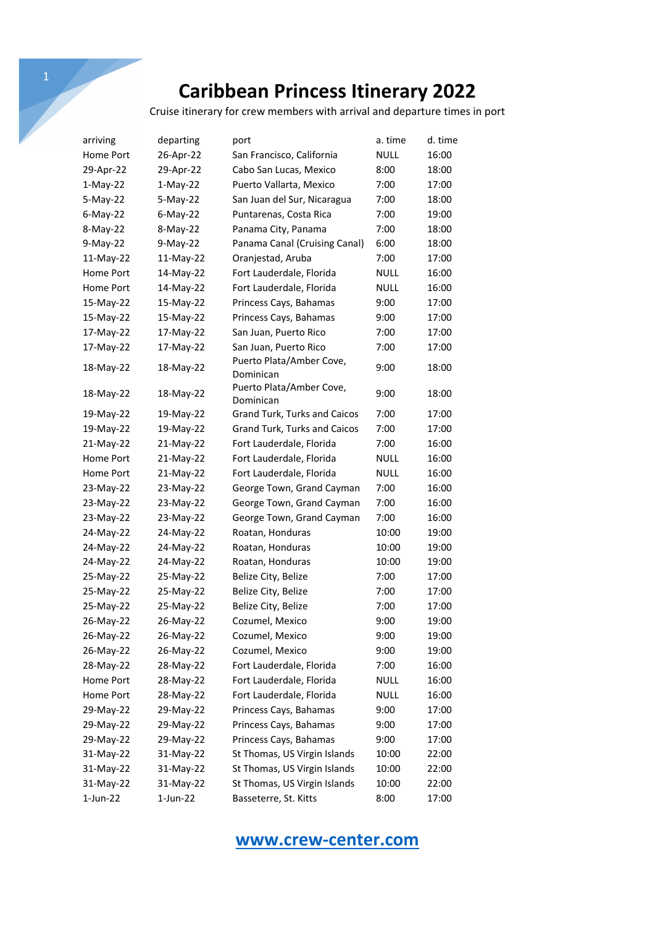Cruise itinerary for crew members with arrival and departure times in port

| arriving    | departing   | port                                  | a. time     | d. time |
|-------------|-------------|---------------------------------------|-------------|---------|
| Home Port   | 26-Apr-22   | San Francisco, California             | <b>NULL</b> | 16:00   |
| 29-Apr-22   | 29-Apr-22   | Cabo San Lucas, Mexico                | 8:00        | 18:00   |
| $1-May-22$  | $1-May-22$  | Puerto Vallarta, Mexico               | 7:00        | 17:00   |
| $5-May-22$  | 5-May-22    | San Juan del Sur, Nicaragua           | 7:00        | 18:00   |
| $6$ -May-22 | $6$ -May-22 | Puntarenas, Costa Rica                | 7:00        | 19:00   |
| 8-May-22    | 8-May-22    | Panama City, Panama                   | 7:00        | 18:00   |
| 9-May-22    | $9-May-22$  | Panama Canal (Cruising Canal)         | 6:00        | 18:00   |
| 11-May-22   | 11-May-22   | Oranjestad, Aruba                     | 7:00        | 17:00   |
| Home Port   | 14-May-22   | Fort Lauderdale, Florida              | <b>NULL</b> | 16:00   |
| Home Port   | 14-May-22   | Fort Lauderdale, Florida              | <b>NULL</b> | 16:00   |
| 15-May-22   | 15-May-22   | Princess Cays, Bahamas                | 9:00        | 17:00   |
| 15-May-22   | 15-May-22   | Princess Cays, Bahamas                | 9:00        | 17:00   |
| 17-May-22   | 17-May-22   | San Juan, Puerto Rico                 | 7:00        | 17:00   |
| 17-May-22   | 17-May-22   | San Juan, Puerto Rico                 | 7:00        | 17:00   |
| 18-May-22   | 18-May-22   | Puerto Plata/Amber Cove,<br>Dominican | 9:00        | 18:00   |
| 18-May-22   | 18-May-22   | Puerto Plata/Amber Cove,<br>Dominican | 9:00        | 18:00   |
| 19-May-22   | 19-May-22   | Grand Turk, Turks and Caicos          | 7:00        | 17:00   |
| 19-May-22   | 19-May-22   | Grand Turk, Turks and Caicos          | 7:00        | 17:00   |
| 21-May-22   | 21-May-22   | Fort Lauderdale, Florida              | 7:00        | 16:00   |
| Home Port   | $21-May-22$ | Fort Lauderdale, Florida              | <b>NULL</b> | 16:00   |
| Home Port   | 21-May-22   | Fort Lauderdale, Florida              | NULL        | 16:00   |
| 23-May-22   | 23-May-22   | George Town, Grand Cayman             | 7:00        | 16:00   |
| 23-May-22   | 23-May-22   | George Town, Grand Cayman             | 7:00        | 16:00   |
| 23-May-22   | 23-May-22   | George Town, Grand Cayman             | 7:00        | 16:00   |
| 24-May-22   | 24-May-22   | Roatan, Honduras                      | 10:00       | 19:00   |
| 24-May-22   | 24-May-22   | Roatan, Honduras                      | 10:00       | 19:00   |
| 24-May-22   | 24-May-22   | Roatan, Honduras                      | 10:00       | 19:00   |
| 25-May-22   | 25-May-22   | Belize City, Belize                   | 7:00        | 17:00   |
| 25-May-22   | 25-May-22   | Belize City, Belize                   | 7:00        | 17:00   |
| 25-May-22   | 25-May-22   | Belize City, Belize                   | 7:00        | 17:00   |
| 26-May-22   | 26-May-22   | Cozumel, Mexico                       | 9:00        | 19:00   |
| 26-May-22   | 26-May-22   | Cozumel, Mexico                       | 9:00        | 19:00   |
| 26-May-22   | 26-May-22   | Cozumel, Mexico                       | 9:00        | 19:00   |
| 28-May-22   | 28-May-22   | Fort Lauderdale, Florida              | 7:00        | 16:00   |
| Home Port   | 28-May-22   | Fort Lauderdale, Florida              | <b>NULL</b> | 16:00   |
| Home Port   | 28-May-22   | Fort Lauderdale, Florida              | <b>NULL</b> | 16:00   |
| 29-May-22   | 29-May-22   | Princess Cays, Bahamas                | 9:00        | 17:00   |
| 29-May-22   | 29-May-22   | Princess Cays, Bahamas                | 9:00        | 17:00   |
| 29-May-22   | 29-May-22   | Princess Cays, Bahamas                | 9:00        | 17:00   |
| 31-May-22   | 31-May-22   | St Thomas, US Virgin Islands          | 10:00       | 22:00   |
| 31-May-22   | 31-May-22   | St Thomas, US Virgin Islands          | 10:00       | 22:00   |
| 31-May-22   | 31-May-22   | St Thomas, US Virgin Islands          | 10:00       | 22:00   |
| 1-Jun-22    | $1$ -Jun-22 | Basseterre, St. Kitts                 | 8:00        | 17:00   |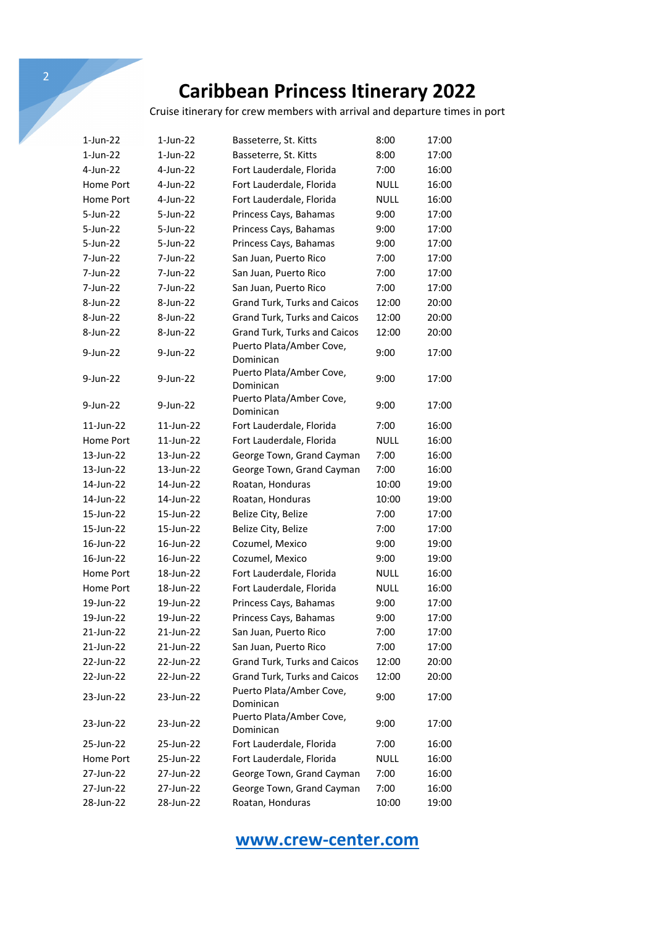Cruise itinerary for crew members with arrival and departure times in port

| 1-Jun-22  | 1-Jun-22    | Basseterre, St. Kitts                 | 8:00        | 17:00 |
|-----------|-------------|---------------------------------------|-------------|-------|
| 1-Jun-22  | $1$ -Jun-22 | Basseterre, St. Kitts                 | 8:00        | 17:00 |
| 4-Jun-22  | 4-Jun-22    | Fort Lauderdale, Florida              | 7:00        | 16:00 |
| Home Port | 4-Jun-22    | Fort Lauderdale, Florida              | <b>NULL</b> | 16:00 |
| Home Port | 4-Jun-22    | Fort Lauderdale, Florida              | <b>NULL</b> | 16:00 |
| 5-Jun-22  | 5-Jun-22    | Princess Cays, Bahamas                | 9:00        | 17:00 |
| 5-Jun-22  | 5-Jun-22    | Princess Cays, Bahamas                | 9:00        | 17:00 |
| 5-Jun-22  | 5-Jun-22    | Princess Cays, Bahamas                | 9:00        | 17:00 |
| 7-Jun-22  | 7-Jun-22    | San Juan, Puerto Rico                 | 7:00        | 17:00 |
| 7-Jun-22  | 7-Jun-22    | San Juan, Puerto Rico                 | 7:00        | 17:00 |
| 7-Jun-22  | 7-Jun-22    | San Juan, Puerto Rico                 | 7:00        | 17:00 |
| 8-Jun-22  | 8-Jun-22    | Grand Turk, Turks and Caicos          | 12:00       | 20:00 |
| 8-Jun-22  | 8-Jun-22    | Grand Turk, Turks and Caicos          | 12:00       | 20:00 |
| 8-Jun-22  | 8-Jun-22    | Grand Turk, Turks and Caicos          | 12:00       | 20:00 |
| 9-Jun-22  | 9-Jun-22    | Puerto Plata/Amber Cove,              | 9:00        | 17:00 |
|           |             | Dominican                             |             |       |
| 9-Jun-22  | 9-Jun-22    | Puerto Plata/Amber Cove,              | 9:00        | 17:00 |
|           |             | Dominican                             |             |       |
| 9-Jun-22  | 9-Jun-22    | Puerto Plata/Amber Cove,<br>Dominican | 9:00        | 17:00 |
| 11-Jun-22 | 11-Jun-22   | Fort Lauderdale, Florida              | 7:00        | 16:00 |
| Home Port | 11-Jun-22   | Fort Lauderdale, Florida              | NULL        | 16:00 |
| 13-Jun-22 | 13-Jun-22   | George Town, Grand Cayman             | 7:00        | 16:00 |
| 13-Jun-22 | 13-Jun-22   | George Town, Grand Cayman             | 7:00        | 16:00 |
| 14-Jun-22 | 14-Jun-22   | Roatan, Honduras                      | 10:00       | 19:00 |
| 14-Jun-22 | 14-Jun-22   | Roatan, Honduras                      | 10:00       | 19:00 |
| 15-Jun-22 | 15-Jun-22   |                                       | 7:00        | 17:00 |
| 15-Jun-22 | 15-Jun-22   | Belize City, Belize                   | 7:00        | 17:00 |
|           |             | Belize City, Belize                   |             |       |
| 16-Jun-22 | 16-Jun-22   | Cozumel, Mexico                       | 9:00        | 19:00 |
| 16-Jun-22 | 16-Jun-22   | Cozumel, Mexico                       | 9:00        | 19:00 |
| Home Port | 18-Jun-22   | Fort Lauderdale, Florida              | <b>NULL</b> | 16:00 |
| Home Port | 18-Jun-22   | Fort Lauderdale, Florida              | <b>NULL</b> | 16:00 |
| 19-Jun-22 | 19-Jun-22   | Princess Cays, Bahamas                | 9:00        | 17:00 |
| 19-Jun-22 | 19-Jun-22   | Princess Cays, Bahamas                | 9:00        | 17:00 |
| 21-Jun-22 | 21-Jun-22   | San Juan, Puerto Rico                 | 7:00        | 17:00 |
| 21-Jun-22 | 21-Jun-22   | San Juan, Puerto Rico                 | 7:00        | 17:00 |
| 22-Jun-22 | 22-Jun-22   | Grand Turk, Turks and Caicos          | 12:00       | 20:00 |
| 22-Jun-22 | 22-Jun-22   | Grand Turk, Turks and Caicos          | 12:00       | 20:00 |
| 23-Jun-22 | 23-Jun-22   | Puerto Plata/Amber Cove,              | 9:00        | 17:00 |
|           |             | Dominican                             |             |       |
| 23-Jun-22 | 23-Jun-22   | Puerto Plata/Amber Cove,<br>Dominican | 9:00        | 17:00 |
| 25-Jun-22 | 25-Jun-22   | Fort Lauderdale, Florida              | 7:00        | 16:00 |
| Home Port | 25-Jun-22   | Fort Lauderdale, Florida              | <b>NULL</b> | 16:00 |
| 27-Jun-22 | 27-Jun-22   | George Town, Grand Cayman             | 7:00        | 16:00 |
| 27-Jun-22 | 27-Jun-22   | George Town, Grand Cayman             | 7:00        | 16:00 |
|           |             |                                       |             |       |
| 28-Jun-22 | 28-Jun-22   | Roatan, Honduras                      | 10:00       | 19:00 |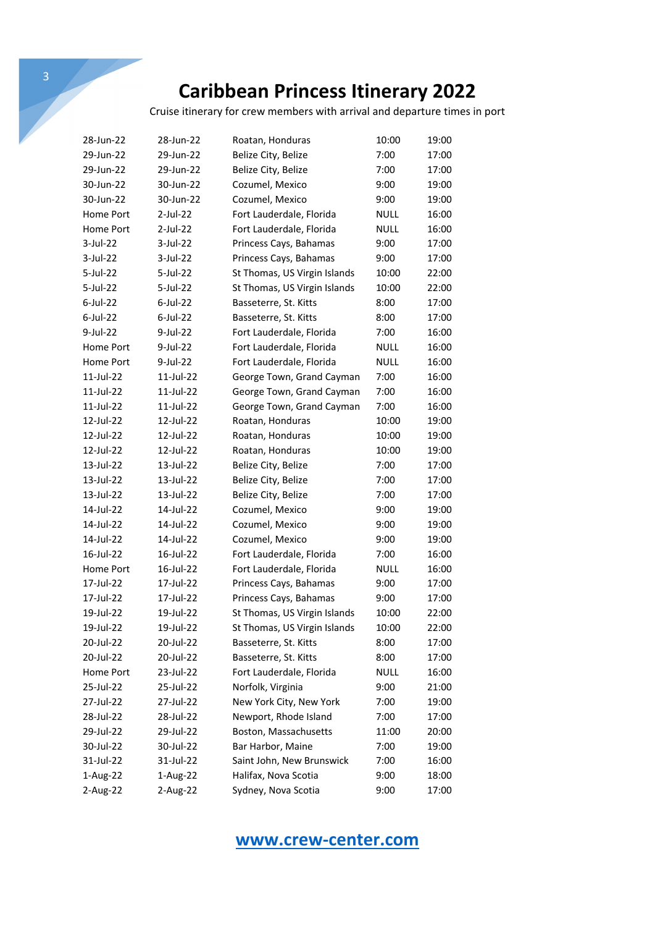Cruise itinerary for crew members with arrival and departure times in port

| 28-Jun-22   | 28-Jun-22   | Roatan, Honduras             | 10:00       | 19:00 |
|-------------|-------------|------------------------------|-------------|-------|
| 29-Jun-22   | 29-Jun-22   | Belize City, Belize          | 7:00        | 17:00 |
| 29-Jun-22   | 29-Jun-22   | Belize City, Belize          | 7:00        | 17:00 |
| 30-Jun-22   | 30-Jun-22   | Cozumel, Mexico              | 9:00        | 19:00 |
| 30-Jun-22   | 30-Jun-22   | Cozumel, Mexico              | 9:00        | 19:00 |
| Home Port   | $2$ -Jul-22 | Fort Lauderdale, Florida     | <b>NULL</b> | 16:00 |
| Home Port   | $2$ -Jul-22 | Fort Lauderdale, Florida     | NULL        | 16:00 |
| $3$ -Jul-22 | 3-Jul-22    | Princess Cays, Bahamas       | 9:00        | 17:00 |
| $3$ -Jul-22 | 3-Jul-22    | Princess Cays, Bahamas       | 9:00        | 17:00 |
| 5-Jul-22    | $5$ -Jul-22 | St Thomas, US Virgin Islands | 10:00       | 22:00 |
| 5-Jul-22    | 5-Jul-22    | St Thomas, US Virgin Islands | 10:00       | 22:00 |
| $6$ -Jul-22 | $6$ -Jul-22 | Basseterre, St. Kitts        | 8:00        | 17:00 |
| $6$ -Jul-22 | $6$ -Jul-22 | Basseterre, St. Kitts        | 8:00        | 17:00 |
| 9-Jul-22    | 9-Jul-22    | Fort Lauderdale, Florida     | 7:00        | 16:00 |
| Home Port   | $9$ -Jul-22 | Fort Lauderdale, Florida     | <b>NULL</b> | 16:00 |
| Home Port   | 9-Jul-22    | Fort Lauderdale, Florida     | <b>NULL</b> | 16:00 |
| 11-Jul-22   | 11-Jul-22   | George Town, Grand Cayman    | 7:00        | 16:00 |
| 11-Jul-22   | 11-Jul-22   | George Town, Grand Cayman    | 7:00        | 16:00 |
| 11-Jul-22   | 11-Jul-22   | George Town, Grand Cayman    | 7:00        | 16:00 |
| 12-Jul-22   | 12-Jul-22   | Roatan, Honduras             | 10:00       | 19:00 |
| 12-Jul-22   | 12-Jul-22   | Roatan, Honduras             | 10:00       | 19:00 |
| 12-Jul-22   | 12-Jul-22   | Roatan, Honduras             | 10:00       | 19:00 |
| 13-Jul-22   | 13-Jul-22   | Belize City, Belize          | 7:00        | 17:00 |
| 13-Jul-22   | 13-Jul-22   | Belize City, Belize          | 7:00        | 17:00 |
| 13-Jul-22   | 13-Jul-22   | Belize City, Belize          | 7:00        | 17:00 |
| 14-Jul-22   | 14-Jul-22   | Cozumel, Mexico              | 9:00        | 19:00 |
| 14-Jul-22   | 14-Jul-22   | Cozumel, Mexico              | 9:00        | 19:00 |
| 14-Jul-22   | 14-Jul-22   | Cozumel, Mexico              | 9:00        | 19:00 |
| 16-Jul-22   | 16-Jul-22   | Fort Lauderdale, Florida     | 7:00        | 16:00 |
| Home Port   | 16-Jul-22   | Fort Lauderdale, Florida     | <b>NULL</b> | 16:00 |
| 17-Jul-22   | 17-Jul-22   | Princess Cays, Bahamas       | 9:00        | 17:00 |
| 17-Jul-22   | 17-Jul-22   | Princess Cays, Bahamas       | 9:00        | 17:00 |
| 19-Jul-22   | 19-Jul-22   | St Thomas, US Virgin Islands | 10:00       | 22:00 |
| 19-Jul-22   | 19-Jul-22   | St Thomas, US Virgin Islands | 10:00       | 22:00 |
| 20-Jul-22   | 20-Jul-22   | Basseterre, St. Kitts        | 8:00        | 17:00 |
| 20-Jul-22   | 20-Jul-22   | Basseterre, St. Kitts        | 8:00        | 17:00 |
| Home Port   | 23-Jul-22   | Fort Lauderdale, Florida     | NULL        | 16:00 |
| 25-Jul-22   | 25-Jul-22   | Norfolk, Virginia            | 9:00        | 21:00 |
| 27-Jul-22   | 27-Jul-22   | New York City, New York      | 7:00        | 19:00 |
| 28-Jul-22   | 28-Jul-22   | Newport, Rhode Island        | 7:00        | 17:00 |
| 29-Jul-22   | 29-Jul-22   | Boston, Massachusetts        | 11:00       | 20:00 |
| 30-Jul-22   | 30-Jul-22   | Bar Harbor, Maine            | 7:00        | 19:00 |
| 31-Jul-22   | 31-Jul-22   | Saint John, New Brunswick    | 7:00        | 16:00 |
| 1-Aug-22    | 1-Aug-22    | Halifax, Nova Scotia         | 9:00        | 18:00 |
| 2-Aug-22    | 2-Aug-22    | Sydney, Nova Scotia          | 9:00        | 17:00 |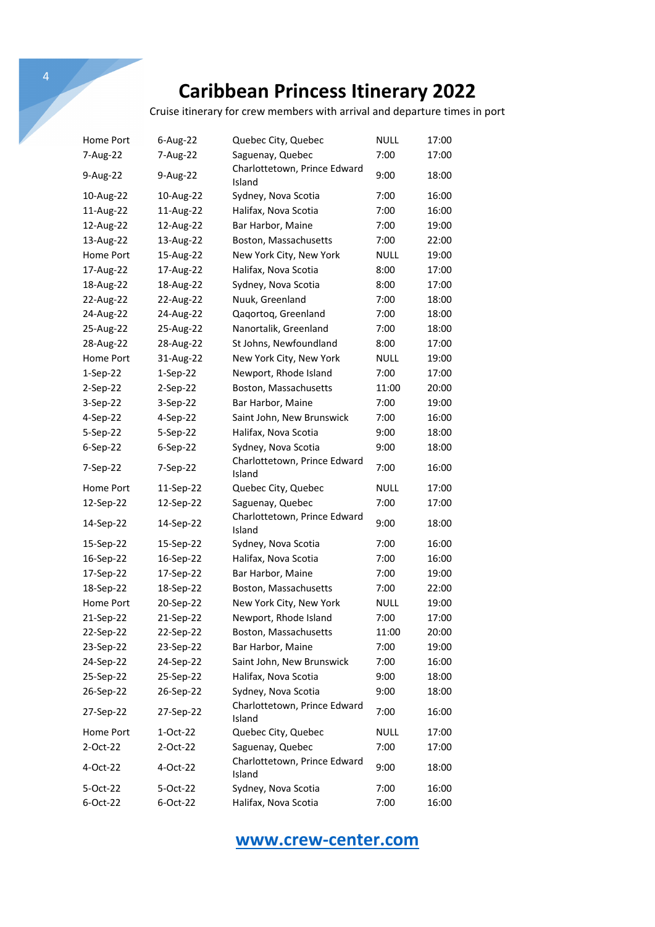Cruise itinerary for crew members with arrival and departure times in port

| Home Port  | 6-Aug-22   | Quebec City, Quebec                    | NULL        | 17:00 |
|------------|------------|----------------------------------------|-------------|-------|
| 7-Aug-22   | 7-Aug-22   | Saguenay, Quebec                       | 7:00        | 17:00 |
| 9-Aug-22   | 9-Aug-22   | Charlottetown, Prince Edward<br>Island | 9:00        | 18:00 |
| 10-Aug-22  | 10-Aug-22  | Sydney, Nova Scotia                    | 7:00        | 16:00 |
| 11-Aug-22  | 11-Aug-22  | Halifax, Nova Scotia                   | 7:00        | 16:00 |
| 12-Aug-22  | 12-Aug-22  | Bar Harbor, Maine                      | 7:00        | 19:00 |
| 13-Aug-22  | 13-Aug-22  | Boston, Massachusetts                  | 7:00        | 22:00 |
| Home Port  | 15-Aug-22  | New York City, New York                | NULL        | 19:00 |
| 17-Aug-22  | 17-Aug-22  | Halifax, Nova Scotia                   | 8:00        | 17:00 |
| 18-Aug-22  | 18-Aug-22  | Sydney, Nova Scotia                    | 8:00        | 17:00 |
| 22-Aug-22  | 22-Aug-22  | Nuuk, Greenland                        | 7:00        | 18:00 |
| 24-Aug-22  | 24-Aug-22  | Qaqortoq, Greenland                    | 7:00        | 18:00 |
| 25-Aug-22  | 25-Aug-22  | Nanortalik, Greenland                  | 7:00        | 18:00 |
| 28-Aug-22  | 28-Aug-22  | St Johns, Newfoundland                 | 8:00        | 17:00 |
| Home Port  | 31-Aug-22  | New York City, New York                | NULL        | 19:00 |
| $1-Sep-22$ | $1-Sep-22$ | Newport, Rhode Island                  | 7:00        | 17:00 |
| $2-Sep-22$ | $2-Sep-22$ | Boston, Massachusetts                  | 11:00       | 20:00 |
| $3-Sep-22$ | $3-Sep-22$ | Bar Harbor, Maine                      | 7:00        | 19:00 |
| 4-Sep-22   | 4-Sep-22   | Saint John, New Brunswick              | 7:00        | 16:00 |
| 5-Sep-22   | 5-Sep-22   | Halifax, Nova Scotia                   | 9:00        | 18:00 |
| $6-Sep-22$ | 6-Sep-22   | Sydney, Nova Scotia                    | 9:00        | 18:00 |
| 7-Sep-22   | 7-Sep-22   | Charlottetown, Prince Edward<br>Island | 7:00        | 16:00 |
| Home Port  | 11-Sep-22  | Quebec City, Quebec                    | <b>NULL</b> | 17:00 |
| 12-Sep-22  | 12-Sep-22  | Saguenay, Quebec                       | 7:00        | 17:00 |
| 14-Sep-22  | 14-Sep-22  | Charlottetown, Prince Edward<br>Island | 9:00        | 18:00 |
| 15-Sep-22  | 15-Sep-22  | Sydney, Nova Scotia                    | 7:00        | 16:00 |
| 16-Sep-22  | 16-Sep-22  | Halifax, Nova Scotia                   | 7:00        | 16:00 |
| 17-Sep-22  | 17-Sep-22  | Bar Harbor, Maine                      | 7:00        | 19:00 |
| 18-Sep-22  | 18-Sep-22  | Boston, Massachusetts                  | 7:00        | 22:00 |
| Home Port  | 20-Sep-22  | New York City, New York                | NULL        | 19:00 |
| 21-Sep-22  | 21-Sep-22  | Newport, Rhode Island                  | 7:00        | 17:00 |
| 22-Sep-22  | 22-Sep-22  | Boston, Massachusetts                  | 11:00       | 20:00 |
| 23-Sep-22  | 23-Sep-22  | Bar Harbor, Maine                      | 7:00        | 19:00 |
| 24-Sep-22  | 24-Sep-22  | Saint John, New Brunswick              | 7:00        | 16:00 |
| 25-Sep-22  | 25-Sep-22  | Halifax, Nova Scotia                   | 9:00        | 18:00 |
| 26-Sep-22  | 26-Sep-22  | Sydney, Nova Scotia                    | 9:00        | 18:00 |
| 27-Sep-22  | 27-Sep-22  | Charlottetown, Prince Edward<br>Island | 7:00        | 16:00 |
| Home Port  | 1-Oct-22   | Quebec City, Quebec                    | <b>NULL</b> | 17:00 |
| 2-Oct-22   | 2-Oct-22   | Saguenay, Quebec                       | 7:00        | 17:00 |
| 4-Oct-22   | 4-Oct-22   | Charlottetown, Prince Edward<br>Island | 9:00        | 18:00 |
| 5-Oct-22   | 5-Oct-22   | Sydney, Nova Scotia                    | 7:00        | 16:00 |
| 6-Oct-22   | 6-Oct-22   | Halifax, Nova Scotia                   | 7:00        | 16:00 |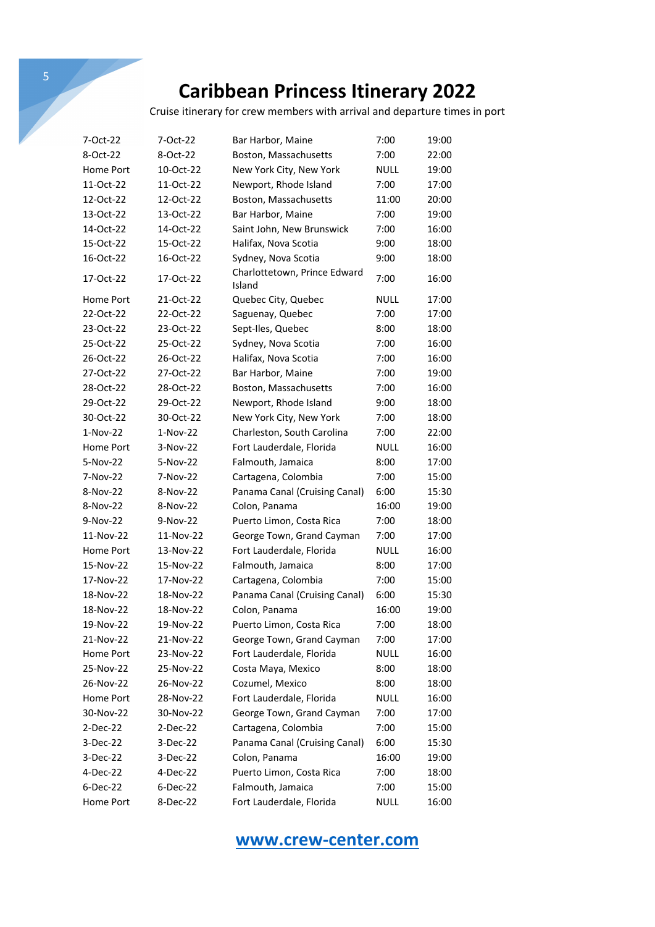Cruise itinerary for crew members with arrival and departure times in port

| 7-Oct-22   | 7-Oct-22   | Bar Harbor, Maine                      | 7:00        | 19:00 |
|------------|------------|----------------------------------------|-------------|-------|
| 8-Oct-22   | 8-Oct-22   | Boston, Massachusetts                  | 7:00        | 22:00 |
| Home Port  | 10-Oct-22  | New York City, New York                | NULL        | 19:00 |
| 11-Oct-22  | 11-Oct-22  | Newport, Rhode Island                  | 7:00        | 17:00 |
| 12-Oct-22  | 12-Oct-22  | Boston, Massachusetts                  | 11:00       | 20:00 |
| 13-Oct-22  | 13-Oct-22  | Bar Harbor, Maine                      | 7:00        | 19:00 |
| 14-Oct-22  | 14-Oct-22  | Saint John, New Brunswick              | 7:00        | 16:00 |
| 15-Oct-22  | 15-Oct-22  | Halifax, Nova Scotia                   | 9:00        | 18:00 |
| 16-Oct-22  | 16-Oct-22  | Sydney, Nova Scotia                    | 9:00        | 18:00 |
| 17-Oct-22  | 17-Oct-22  | Charlottetown, Prince Edward<br>Island | 7:00        | 16:00 |
| Home Port  | 21-Oct-22  | Quebec City, Quebec                    | NULL        | 17:00 |
| 22-Oct-22  | 22-Oct-22  | Saguenay, Quebec                       | 7:00        | 17:00 |
| 23-Oct-22  | 23-Oct-22  | Sept-Iles, Quebec                      | 8:00        | 18:00 |
| 25-Oct-22  | 25-Oct-22  | Sydney, Nova Scotia                    | 7:00        | 16:00 |
| 26-Oct-22  | 26-Oct-22  | Halifax, Nova Scotia                   | 7:00        | 16:00 |
| 27-Oct-22  | 27-Oct-22  | Bar Harbor, Maine                      | 7:00        | 19:00 |
| 28-Oct-22  | 28-Oct-22  | Boston, Massachusetts                  | 7:00        | 16:00 |
| 29-Oct-22  | 29-Oct-22  | Newport, Rhode Island                  | 9:00        | 18:00 |
| 30-Oct-22  | 30-Oct-22  | New York City, New York                | 7:00        | 18:00 |
| $1-Nov-22$ | $1-Nov-22$ | Charleston, South Carolina             | 7:00        | 22:00 |
| Home Port  | $3-Nov-22$ | Fort Lauderdale, Florida               | NULL        | 16:00 |
| 5-Nov-22   | 5-Nov-22   | Falmouth, Jamaica                      | 8:00        | 17:00 |
| 7-Nov-22   | 7-Nov-22   | Cartagena, Colombia                    | 7:00        | 15:00 |
| 8-Nov-22   | 8-Nov-22   | Panama Canal (Cruising Canal)          | 6:00        | 15:30 |
| 8-Nov-22   | 8-Nov-22   | Colon, Panama                          | 16:00       | 19:00 |
| 9-Nov-22   | 9-Nov-22   | Puerto Limon, Costa Rica               | 7:00        | 18:00 |
| 11-Nov-22  | 11-Nov-22  | George Town, Grand Cayman              | 7:00        | 17:00 |
| Home Port  | 13-Nov-22  | Fort Lauderdale, Florida               | NULL        | 16:00 |
| 15-Nov-22  | 15-Nov-22  | Falmouth, Jamaica                      | 8:00        | 17:00 |
| 17-Nov-22  | 17-Nov-22  | Cartagena, Colombia                    | 7:00        | 15:00 |
| 18-Nov-22  | 18-Nov-22  | Panama Canal (Cruising Canal)          | 6:00        | 15:30 |
| 18-Nov-22  | 18-Nov-22  | Colon, Panama                          | 16:00       | 19:00 |
| 19-Nov-22  | 19-Nov-22  | Puerto Limon, Costa Rica               | 7:00        | 18:00 |
| 21-Nov-22  | 21-Nov-22  | George Town, Grand Cayman              | 7:00        | 17:00 |
| Home Port  | 23-Nov-22  | Fort Lauderdale, Florida               | <b>NULL</b> | 16:00 |
| 25-Nov-22  | 25-Nov-22  | Costa Maya, Mexico                     | 8:00        | 18:00 |
| 26-Nov-22  | 26-Nov-22  | Cozumel, Mexico                        | 8:00        | 18:00 |
| Home Port  | 28-Nov-22  | Fort Lauderdale, Florida               | <b>NULL</b> | 16:00 |
| 30-Nov-22  | 30-Nov-22  | George Town, Grand Cayman              | 7:00        | 17:00 |
| 2-Dec-22   | 2-Dec-22   | Cartagena, Colombia                    | 7:00        | 15:00 |
| 3-Dec-22   | 3-Dec-22   | Panama Canal (Cruising Canal)          | 6:00        | 15:30 |
| 3-Dec-22   | 3-Dec-22   | Colon, Panama                          | 16:00       | 19:00 |
| 4-Dec-22   | 4-Dec-22   | Puerto Limon, Costa Rica               | 7:00        | 18:00 |
| 6-Dec-22   | 6-Dec-22   | Falmouth, Jamaica                      | 7:00        | 15:00 |
| Home Port  | 8-Dec-22   | Fort Lauderdale, Florida               | <b>NULL</b> | 16:00 |
|            |            |                                        |             |       |